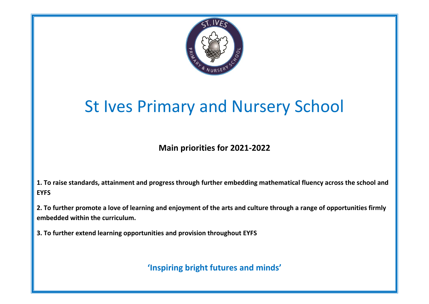

## St Ives Primary and Nursery School

**Main priorities for 2021-2022**

**1. To raise standards, attainment and progress through further embedding mathematical fluency across the school and EYFS**

**2. To further promote a love of learning and enjoyment of the arts and culture through a range of opportunities firmly embedded within the curriculum.**

**3. To further extend learning opportunities and provision throughout EYFS**

**'Inspiring bright futures and minds'**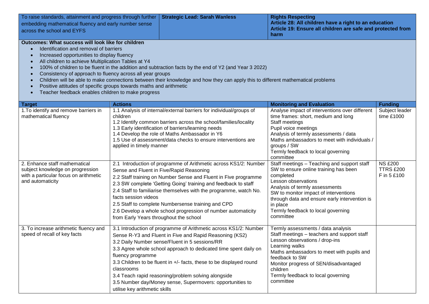| To raise standards, attainment and progress through further<br>embedding mathematical fluency and early number sense<br>across the school and EYFS                                                                                                                                                                                                                                                                                                                                                 |                                                                  | <b>Strategic Lead: Sarah Wanless</b>                                                                                                                                                                                                                                                                                                                                                                                                          | <b>Rights Respecting</b><br>Article 28: All children have a right to an education<br>Article 19: Ensure all children are safe and protected from<br>harm                                                                                                                                                            |                                                   |
|----------------------------------------------------------------------------------------------------------------------------------------------------------------------------------------------------------------------------------------------------------------------------------------------------------------------------------------------------------------------------------------------------------------------------------------------------------------------------------------------------|------------------------------------------------------------------|-----------------------------------------------------------------------------------------------------------------------------------------------------------------------------------------------------------------------------------------------------------------------------------------------------------------------------------------------------------------------------------------------------------------------------------------------|---------------------------------------------------------------------------------------------------------------------------------------------------------------------------------------------------------------------------------------------------------------------------------------------------------------------|---------------------------------------------------|
| Outcomes: What success will look like for children<br>Identification and removal of barriers<br>$\bullet$<br>Increased opportunities to display fluency<br>$\bullet$<br>All children to achieve Multiplication Tables at Y4<br>$\bullet$<br>$\bullet$<br>Consistency of approach to fluency across all year groups<br>$\bullet$<br>$\bullet$<br>Positive attitudes of specific groups towards maths and arithmetic<br>$\bullet$<br>Teacher feedback enables children to make progress<br>$\bullet$ |                                                                  | 100% of children to be fluent in the addition and subtraction facts by the end of Y2 (and Year 3 2022)<br>Children will be able to make connections between their knowledge and how they can apply this to different mathematical problems                                                                                                                                                                                                    |                                                                                                                                                                                                                                                                                                                     |                                                   |
| <b>Target</b>                                                                                                                                                                                                                                                                                                                                                                                                                                                                                      | <b>Actions</b>                                                   |                                                                                                                                                                                                                                                                                                                                                                                                                                               | <b>Monitoring and Evaluation</b>                                                                                                                                                                                                                                                                                    | <b>Funding</b>                                    |
| 1. To identify and remove barriers in<br>mathematical fluency                                                                                                                                                                                                                                                                                                                                                                                                                                      | children<br>applied in timely manner                             | 1.1 Analysis of internal/external barriers for individual/groups of<br>1.2 Identify common barriers across the school/families/locality<br>1.3 Early identification of barriers/learning needs<br>1.4 Develop the role of Maths Ambassador in Y6<br>1.5 Use of assessment/data checks to ensure interventions are                                                                                                                             | Analyse impact of interventions over different<br>time frames: short, medium and long<br>Staff meetings<br>Pupil voice meetings<br>Analysis of termly assessments / data<br>Maths ambassadors to meet with individuals /<br>groups / SW<br>Termly feedback to local governing<br>committee                          | Subject leader<br>time £1000                      |
| 2. Enhance staff mathematical<br>subject knowledge on progression<br>with a particular focus on arithmetic<br>and automaticity                                                                                                                                                                                                                                                                                                                                                                     | facts session videos<br>from Early Years throughout the school   | 2.1 Introduction of programme of Arithmetic across KS1/2: Number<br>Sense and Fluent in Five/Rapid Reasoning<br>2.2 Staff training on Number Sense and Fluent in Five programme<br>2.3 SW complete 'Getting Going' training and feedback to staff<br>2.4 Staff to familiarise themselves with the programme, watch No.<br>2.5 Staff to complete Numbersense training and CPD<br>2.6 Develop a whole school progression of number automaticity | Staff meetings - Teaching and support staff<br>SW to ensure online training has been<br>completed<br>Lesson observations<br>Analysis of termly assessments<br>SW to monitor impact of interventions<br>through data and ensure early intervention is<br>in place<br>Termly feedback to local governing<br>committee | <b>NS £200</b><br><b>TTRS £200</b><br>F in 5 £100 |
| 3. To increase arithmetic fluency and<br>speed of recall of key facts                                                                                                                                                                                                                                                                                                                                                                                                                              | fluency programme<br>classrooms<br>utilise key arithmetic skills | 3.1 Introduction of programme of Arithmetic across KS1/2: Number<br>Sense R-Y3 and Fluent in Five and Rapid Reasoning (KS2)<br>3.2 Daily Number sense/Fluent in 5 sessions/RR<br>3.3 Agree whole school approach to dedicated time spent daily on<br>3.3 Children to be fluent in +/- facts, these to be displayed round<br>3.4 Teach rapid reasoning/problem solving alongside<br>3.5 Number day/Money sense, Supermovers: opportunities to  | Termly assessments / data analysis<br>Staff meetings - teachers and support staff<br>Lesson observations / drop-ins<br>Learning walks<br>Maths ambassadors to meet with pupils and<br>feedback to SW<br>Monitor progress of SEN/disadvantaged<br>children<br>Termly feedback to local governing<br>committee        |                                                   |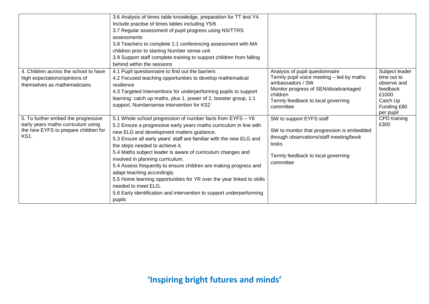|                                                                                                                                  | 3.6 Analysis of times table knowledge, preparation for TT test Y4.<br>Include practise of times tables including Y5/6<br>3.7 Regular assessment of pupil progress using NS/TTRS<br>assessments<br>3.8 Teachers to complete 1:1 conferencing assessment with MA<br>children prior to starting Number sense unit<br>3.9 Support staff complete training to support children from falling<br>behind within the sessions                                                                                                                                                                                                                                                             |                                                                                                                                                                                                          |                                                                                                           |
|----------------------------------------------------------------------------------------------------------------------------------|----------------------------------------------------------------------------------------------------------------------------------------------------------------------------------------------------------------------------------------------------------------------------------------------------------------------------------------------------------------------------------------------------------------------------------------------------------------------------------------------------------------------------------------------------------------------------------------------------------------------------------------------------------------------------------|----------------------------------------------------------------------------------------------------------------------------------------------------------------------------------------------------------|-----------------------------------------------------------------------------------------------------------|
| 4. Children across the school to have<br>high expectations/opinions of<br>themselves as mathematicians                           | 4.1 Pupil questionnaire to find out the barriers<br>4.2 Focused teaching opportunities to develop mathematical<br>resilience<br>4.3 Targeted Interventions for underperforming pupils to support<br>learning: catch up maths, plus 1, power of 2, booster group, 1:1<br>support, Numbersense intervention for KS2                                                                                                                                                                                                                                                                                                                                                                | Analysis of pupil questionnaire<br>Termly pupil voice meeting – led by maths<br>ambassadors / SW<br>Monitor progress of SEN/disadvantaged<br>children<br>Termly feedback to local governing<br>committee | Subject leader<br>time out to<br>observe and<br>feedback<br>£1000<br>Catch Up<br>Funding £80<br>per pupil |
| 5. To further embed the progressive<br>early years maths curriculum using<br>the new EYFS to prepare children for<br><b>KS1.</b> | 5.1 Whole school progression of number facts from EYFS - Y6<br>5.2 Ensure a progressive early years maths curriculum in line with<br>new ELG and development matters guidance.<br>5.3 Ensure all early years' staff are familiar with the new ELG and<br>the steps needed to achieve it.<br>5.4 Maths subject leader is aware of curriculum changes and<br>involved in planning curriculum.<br>5.4 Assess frequently to ensure children are making progress and<br>adapt teaching accordingly.<br>5.5 Home learning opportunities for YR over the year linked to skills<br>needed to meet ELG.<br>5.6 Early identification and intervention to support underperforming<br>pupils | SW to support EYFS staff<br>SW to monitor that progression is embedded<br>through observations/staff meeting/book<br>looks<br>Termly feedback to local governing<br>committee                            | CPD training<br>£300                                                                                      |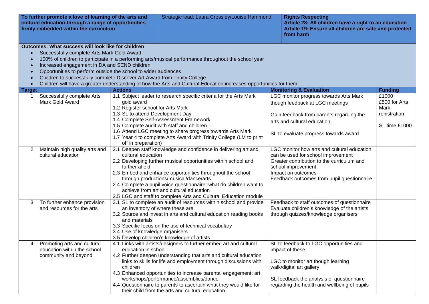| To further promote a love of learning of the arts and<br>cultural education through a range of opportunities<br>firmly embedded within the curriculum |                                                                                                                                                                                                                                                                                                 | Strategic lead: Laura Crossley/Louise Hammond                                       | <b>Rights Respecting</b><br>Article 28: All children have a right to an education<br>Article 19: Ensure all children are safe and protected<br>from harm                                                                                                                                                                                                                                                                                           |                                                                                                                                                                                                                           |                                                                 |
|-------------------------------------------------------------------------------------------------------------------------------------------------------|-------------------------------------------------------------------------------------------------------------------------------------------------------------------------------------------------------------------------------------------------------------------------------------------------|-------------------------------------------------------------------------------------|----------------------------------------------------------------------------------------------------------------------------------------------------------------------------------------------------------------------------------------------------------------------------------------------------------------------------------------------------------------------------------------------------------------------------------------------------|---------------------------------------------------------------------------------------------------------------------------------------------------------------------------------------------------------------------------|-----------------------------------------------------------------|
| $\bullet$<br>$\bullet$<br>$\bullet$                                                                                                                   | Outcomes: What success will look like for children<br>Successfully complete Arts Mark Gold Award<br>Increased engagement in DA and SEND children<br>Opportunities to perform outside the school to wider audiences<br>Children to successfully complete Discover Art Award from Trinity College |                                                                                     | 100% of children to participate in a performing arts/musical performance throughout the school year<br>Children will have a greater understanding of how the Arts and Cultural Education increases opportunities for them                                                                                                                                                                                                                          |                                                                                                                                                                                                                           |                                                                 |
| <b>Target</b>                                                                                                                                         |                                                                                                                                                                                                                                                                                                 | <b>Actions</b>                                                                      |                                                                                                                                                                                                                                                                                                                                                                                                                                                    | <b>Monitoring &amp; Evaluation</b>                                                                                                                                                                                        | <b>Funding</b>                                                  |
|                                                                                                                                                       | 1. Successfully complete Arts<br>Mark Gold Award                                                                                                                                                                                                                                                | gold award<br>1.2 Register school for Arts Mark<br>1.3 SL to attend Development Day | 1.1 Subject leader to research specific criteria for the Arts Mark<br>1.4 Complete Self-Assessment Framework<br>1.5 Complete audit with staff and children<br>1.6 Attend LGC meeting to share progress towards Arts Mark                                                                                                                                                                                                                           | LGC monitor progress towards Arts Mark<br>though feedback at LGC meetings<br>Gain feedback from parents regarding the<br>arts and cultural education<br>SL to evaluate progress towards award                             | £1000<br>£500 for Arts<br>Mark<br>rehistration<br>SL time £1000 |
| 2.                                                                                                                                                    | Maintain high quality arts and<br>cultural education                                                                                                                                                                                                                                            | off in preparation)<br>cultural education<br>further afield                         | 1.7 Year 4 to complete Arts Award with Trinity College (LM to print<br>2.1 Deepen staff knowledge and confidence in delivering art and<br>2.2 Developing further musical opportunities within school and                                                                                                                                                                                                                                           | LGC monitor how arts and cultural education<br>can be used for school improvement<br>Greater contribution to the curriculum and<br>school improvement                                                                     |                                                                 |
|                                                                                                                                                       |                                                                                                                                                                                                                                                                                                 |                                                                                     | 2.3 Embed and enhance opportunities throughout the school<br>through productions/musical/dance/arts<br>2.4 Complete a pupil voice questionnaire: what do children want to<br>achieve from art and cultural education<br>2.5 LGC and staff to complete Arts and Cultural Education module                                                                                                                                                           | Impact on outcomes<br>Feedback outcomes from pupil questionnaire                                                                                                                                                          |                                                                 |
| 3.                                                                                                                                                    | To further enhance provision<br>and resources for the arts                                                                                                                                                                                                                                      | and materials<br>3.4 Use of knowledge organisers                                    | 3.1 SL to complete an audit of resources within school and provide<br>an inventory of where these are<br>3.2 Source and invest in arts and cultural education reading books<br>3.3 Specific focus on the use of technical vocabulary<br>3.5 Develop children's knowledge of artists                                                                                                                                                                | Feedback to staff outcomes of questionnaire<br>Evaluate children's knowledge of the artists<br>through quizzes/knowledge organisers                                                                                       |                                                                 |
| 4.                                                                                                                                                    | Promoting arts and cultural<br>education within the school<br>community and beyond                                                                                                                                                                                                              | education in school<br>children                                                     | 4.1 Links with artists/designers to further embed art and cultural<br>4.2 Further deepen understanding that arts and cultural education<br>links to skills for life and employment through discussions with<br>4.3 Enhanced opportunities to increase parental engagement: art<br>workshops/performance/assemblies/dance<br>4.4 Questionnaire to parents to ascertain what they would like for<br>their child from the arts and cultural education | SL to feedback to LGC opportunities and<br>impact of these<br>LGC to monitor art though learning<br>walk/digital art gallery<br>SL feedback the analysis of questionnaire<br>regarding the health and wellbeing of pupils |                                                                 |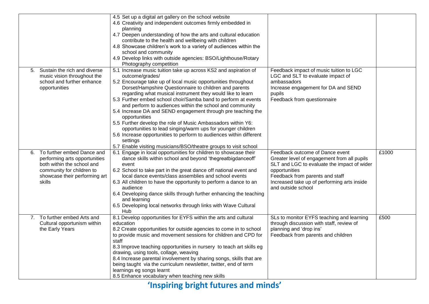|    |                                 | 4.5 Set up a digital art gallery on the school website               |                                             |       |
|----|---------------------------------|----------------------------------------------------------------------|---------------------------------------------|-------|
|    |                                 | 4.6 Creativity and independent outcomes firmly embedded in           |                                             |       |
|    |                                 | planning                                                             |                                             |       |
|    |                                 | 4.7 Deepen understanding of how the arts and cultural education      |                                             |       |
|    |                                 | contribute to the health and wellbeing with children                 |                                             |       |
|    |                                 | 4.8 Showcase children's work to a variety of audiences within the    |                                             |       |
|    |                                 | school and community                                                 |                                             |       |
|    |                                 | 4.9 Develop links with outside agencies: BSO/Lighthouse/Rotary       |                                             |       |
|    |                                 | Photography competition                                              |                                             |       |
|    | 5. Sustain the rich and diverse | 5.1 Increase music tuition take up across KS2 and aspiration of      | Feedback impact of music tuition to LGC     |       |
|    | music vision throughout the     | outcome/grades/                                                      | LGC and SLT to evaluate impact of           |       |
|    | school and further enhance      | 5.2 Encourage take up of local music opportunities throughout        | ambassadors                                 |       |
|    | opportunities                   | Dorset/Hampshire Questionnaire to children and parents               | Increase engagement for DA and SEND         |       |
|    |                                 | regarding what musical instrument they would like to learn           | pupils                                      |       |
|    |                                 | 5.3 Further embed school choir/Samba band to perform at events       | Feedback from questionnaire                 |       |
|    |                                 | and perform to audiences within the school and community             |                                             |       |
|    |                                 | 5.4 Increase DA and SEND engagement through pre teaching the         |                                             |       |
|    |                                 | opportunities                                                        |                                             |       |
|    |                                 | 5.5 Further develop the role of Music Ambassadors within Y6:         |                                             |       |
|    |                                 | opportunities to lead singing/warm ups for younger children          |                                             |       |
|    |                                 | 5.6 Increase opportunities to perform to audiences within different  |                                             |       |
|    |                                 | settings                                                             |                                             |       |
|    |                                 | 5.7 Enable visiting musicians/BSO/theatre groups to visit school     |                                             |       |
| 6. | To further embed Dance and      | 6.1 Engage in local opportunities for children to showcase their     | Feedback outcome of Dance event             | £1000 |
|    | performing arts opportunities   | dance skills within school and beyond 'thegreatbigdanceoff'          | Greater level of engagement from all pupils |       |
|    | both within the school and      | event                                                                | SLT and LGC to evaluate the impact of wider |       |
|    | community for children to       | 6.2 School to take part in the great dance off national event and    | opportunities                               |       |
|    | showcase their performing art   | local dance events/class assemblies and school events                | Feedback from parents and staff             |       |
|    | skills                          | 6.3 All children to have the opportunity to perform a dance to an    | Increased take up of performing arts inside |       |
|    |                                 | audience                                                             | and outside school                          |       |
|    |                                 | 6.4 Developing dance skills through further enhancing the teaching   |                                             |       |
|    |                                 | and learning                                                         |                                             |       |
|    |                                 | 6.5 Developing local networks through links with Wave Cultural       |                                             |       |
|    |                                 | Hub                                                                  |                                             |       |
|    | 7. To further embed Arts and    | 8.1 Develop opportunities for EYFS within the arts and cultural      | SLs to monitor EYFS teaching and learning   | £500  |
|    | Cultural opportunism within     | education                                                            | through discussion with staff, review of    |       |
|    | the Early Years                 | 8.2 Create opportunities for outside agencies to come in to school   | planning and 'drop ins'                     |       |
|    |                                 | to provide music and movement sessions for children and CPD for      | Feedback from parents and children          |       |
|    |                                 | staff                                                                |                                             |       |
|    |                                 | 8.3 Improve teaching opportunities in nursery to teach art skills eg |                                             |       |
|    |                                 | drawing, using tools, collage, weaving                               |                                             |       |
|    |                                 | 8.4 Increase parental involvement by sharing songs, skills that are  |                                             |       |
|    |                                 | being taught via the curriculum newsletter, twitter, end of term     |                                             |       |
|    |                                 | learnings eg songs learnt                                            |                                             |       |
|    |                                 | 8.5 Enhance vocabulary when teaching new skills                      |                                             |       |
|    |                                 |                                                                      |                                             |       |

**'Inspiring bright futures and minds'**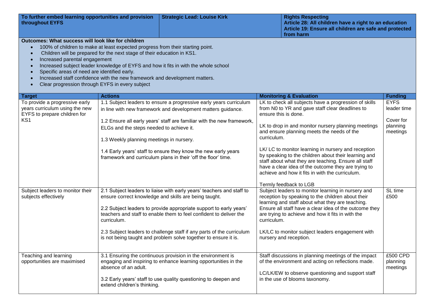| To further embed learning opportunities and provision<br>throughout EYFS<br>Outcomes: What success will look like for children<br>$\bullet$<br>$\bullet$<br>Increased parental engagement<br>$\bullet$<br>$\bullet$<br>Specific areas of need are identified early. | 100% of children to make at least expected progress from their starting point.<br>Children will be prepared for the next stage of their education in KS1. | <b>Strategic Lead: Louise Kirk</b><br>Increased subject leader knowledge of EYFS and how it fits in with the whole school                                                                                                                                                                                                                                                                                              |             | <b>Rights Respecting</b><br>Article 28: All children have a right to an education<br>Article 19: Ensure all children are safe and protected<br>from harm                                                                                                                                                                                                                                                                                                                                                                                                                               |                                                                                   |
|---------------------------------------------------------------------------------------------------------------------------------------------------------------------------------------------------------------------------------------------------------------------|-----------------------------------------------------------------------------------------------------------------------------------------------------------|------------------------------------------------------------------------------------------------------------------------------------------------------------------------------------------------------------------------------------------------------------------------------------------------------------------------------------------------------------------------------------------------------------------------|-------------|----------------------------------------------------------------------------------------------------------------------------------------------------------------------------------------------------------------------------------------------------------------------------------------------------------------------------------------------------------------------------------------------------------------------------------------------------------------------------------------------------------------------------------------------------------------------------------------|-----------------------------------------------------------------------------------|
| Clear progression through EYFS in every subject                                                                                                                                                                                                                     | Increased staff confidence with the new framework and development matters.                                                                                |                                                                                                                                                                                                                                                                                                                                                                                                                        |             |                                                                                                                                                                                                                                                                                                                                                                                                                                                                                                                                                                                        |                                                                                   |
|                                                                                                                                                                                                                                                                     |                                                                                                                                                           |                                                                                                                                                                                                                                                                                                                                                                                                                        |             |                                                                                                                                                                                                                                                                                                                                                                                                                                                                                                                                                                                        |                                                                                   |
| Target<br>To provide a progressive early<br>years curriculum using the new<br>EYFS to prepare children for<br>KS <sub>1</sub>                                                                                                                                       | <b>Actions</b><br>ELGs and the steps needed to achieve it.<br>1.3 Weekly planning meetings in nursery.                                                    | 1.1 Subject leaders to ensure a progressive early years curriculum<br>in line with new framework and development matters guidance.<br>1.2 Ensure all early years' staff are familiar with the new framework,<br>1.4 Early years' staff to ensure they know the new early years<br>framework and curriculum plans in their 'off the floor' time.                                                                        | curriculum. | <b>Monitoring &amp; Evaluation</b><br>LK to check all subjects have a progression of skills<br>from N0 to YR and gave staff clear deadlines to<br>ensure this is done.<br>LK to drop in and monitor nursery planning meetings<br>and ensure planning meets the needs of the<br>LK/ LC to monitor learning in nursery and reception<br>by speaking to the children about their learning and<br>staff about what they are teaching. Ensure all staff<br>have a clear idea of the outcome they are trying to<br>achieve and how it fits in with the curriculum.<br>Termly feedback to LGB | <b>Funding</b><br><b>EYFS</b><br>leader time<br>Cover for<br>planning<br>meetings |
| Subject leaders to monitor their<br>subjects effectively                                                                                                                                                                                                            | curriculum.                                                                                                                                               | 2.1 Subject leaders to liaise with early years' teachers and staff to<br>ensure correct knowledge and skills are being taught.<br>2.2 Subject leaders to provide appropriate support to early years'<br>teachers and staff to enable them to feel confident to deliver the<br>2.3 Subject leaders to challenge staff if any parts of the curriculum<br>is not being taught and problem solve together to ensure it is. | curriculum. | Subject leaders to monitor learning in nursery and<br>reception by speaking to the children about their<br>learning and staff about what they are teaching.<br>Ensure all staff have a clear idea of the outcome they<br>are trying to achieve and how it fits in with the<br>LK/LC to monitor subject leaders engagement with<br>nursery and reception.                                                                                                                                                                                                                               | SL time<br>£500                                                                   |
| Teaching and learning<br>opportunities are maximised                                                                                                                                                                                                                | absence of an adult.<br>extend children's thinking.                                                                                                       | 3.1 Ensuring the continuous provision in the environment is<br>engaging and inspiring to enhance learning opportunities in the<br>3.2 Early years' staff to use quality questioning to deepen and                                                                                                                                                                                                                      |             | Staff discussions in planning meetings of the impact<br>of the environment and acting on reflections made.<br>LC/LK/EW to observe questioning and support staff<br>in the use of blooms taxonomy.                                                                                                                                                                                                                                                                                                                                                                                      | £500 CPD<br>planning<br>meetings                                                  |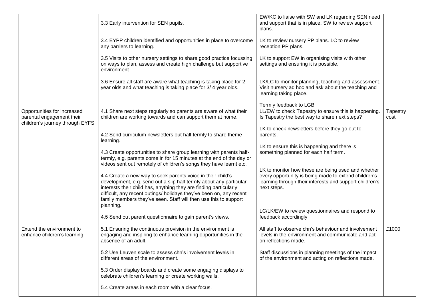|                                                                                             | 3.3 Early intervention for SEN pupils.                                                                                                                                                                                                                                                                                                            | EW/KC to liaise with SW and LK regarding SEN need<br>and support that is in place. SW to review support<br>plans.                                                                    |                  |
|---------------------------------------------------------------------------------------------|---------------------------------------------------------------------------------------------------------------------------------------------------------------------------------------------------------------------------------------------------------------------------------------------------------------------------------------------------|--------------------------------------------------------------------------------------------------------------------------------------------------------------------------------------|------------------|
|                                                                                             | 3.4 EYPP children identified and opportunities in place to overcome<br>any barriers to learning.                                                                                                                                                                                                                                                  | LK to review nursery PP plans. LC to review<br>reception PP plans.                                                                                                                   |                  |
|                                                                                             | 3.5 Visits to other nursery settings to share good practice focussing<br>on ways to plan, assess and create high challenge but supportive<br>environment                                                                                                                                                                                          | LK to support EW in organising visits with other<br>settings and ensuring it is possible.                                                                                            |                  |
|                                                                                             | 3.6 Ensure all staff are aware what teaching is taking place for 2<br>year olds and what teaching is taking place for 3/4 year olds.                                                                                                                                                                                                              | LK/LC to monitor planning, teaching and assessment.<br>Visit nursery ad hoc and ask about the teaching and<br>learning taking place.                                                 |                  |
|                                                                                             |                                                                                                                                                                                                                                                                                                                                                   | Termly feedback to LGB                                                                                                                                                               |                  |
| Opportunities for increased<br>parental engagement their<br>children's journey through EYFS | 4.1 Share next steps regularly so parents are aware of what their<br>children are working towards and can support them at home.                                                                                                                                                                                                                   | LL/EW to check Tapestry to ensure this is happening.<br>Is Tapestry the best way to share next steps?                                                                                | Tapestry<br>cost |
|                                                                                             | 4.2 Send curriculum newsletters out half termly to share theme<br>learning.                                                                                                                                                                                                                                                                       | LK to check newsletters before they go out to<br>parents.                                                                                                                            |                  |
|                                                                                             | 4.3 Create opportunities to share group learning with parents half-<br>termly, e.g. parents come in for 15 minutes at the end of the day or<br>videos sent out remotely of children's songs they have learnt etc.                                                                                                                                 | LK to ensure this is happening and there is<br>something planned for each half term.                                                                                                 |                  |
|                                                                                             | 4.4 Create a new way to seek parents voice in their child's<br>development, e.g. send out a slip half termly about any particular<br>interests their child has, anything they are finding particularly<br>difficult, any recent outings/ holidays they've been on, any recent<br>family members they've seen. Staff will then use this to support | LK to monitor how these are being used and whether<br>every opportunity is being made to extend children's<br>learning through their interests and support children's<br>next steps. |                  |
|                                                                                             | planning.<br>4.5 Send out parent questionnaire to gain parent's views.                                                                                                                                                                                                                                                                            | LC/LK/EW to review questionnaires and respond to<br>feedback accordingly.                                                                                                            |                  |
| Extend the environment to<br>enhance children's learning                                    | 5.1 Ensuring the continuous provision in the environment is<br>engaging and inspiring to enhance learning opportunities in the<br>absence of an adult.                                                                                                                                                                                            | All staff to observe chn's behaviour and involvement<br>levels in the environment and communicate and act<br>on reflections made.                                                    | £1000            |
|                                                                                             | 5.2 Use Leuven scale to assess chn's involvement levels in<br>different areas of the environment.                                                                                                                                                                                                                                                 | Staff discussions in planning meetings of the impact<br>of the environment and acting on reflections made.                                                                           |                  |
|                                                                                             | 5.3 Order display boards and create some engaging displays to<br>celebrate children's learning or create working walls.                                                                                                                                                                                                                           |                                                                                                                                                                                      |                  |
|                                                                                             | 5.4 Create areas in each room with a clear focus.                                                                                                                                                                                                                                                                                                 |                                                                                                                                                                                      |                  |